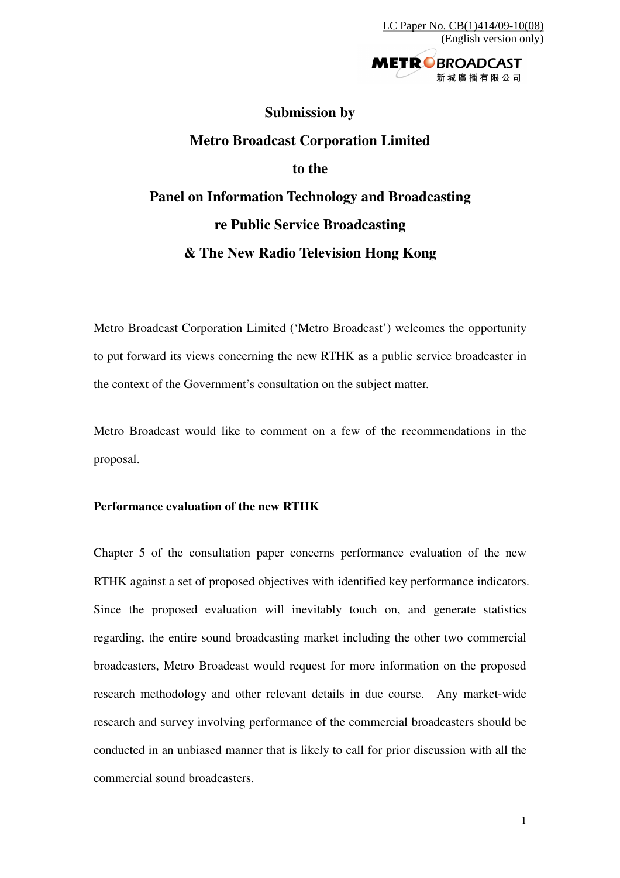

## **Submission by Metro Broadcast Corporation Limited to the Panel on Information Technology and Broadcasting re Public Service Broadcasting & The New Radio Television Hong Kong**

Metro Broadcast Corporation Limited ('Metro Broadcast') welcomes the opportunity to put forward its views concerning the new RTHK as a public service broadcaster in the context of the Government's consultation on the subject matter.

Metro Broadcast would like to comment on a few of the recommendations in the proposal.

## **Performance evaluation of the new RTHK**

Chapter 5 of the consultation paper concerns performance evaluation of the new RTHK against a set of proposed objectives with identified key performance indicators. Since the proposed evaluation will inevitably touch on, and generate statistics regarding, the entire sound broadcasting market including the other two commercial broadcasters, Metro Broadcast would request for more information on the proposed research methodology and other relevant details in due course. Any market-wide research and survey involving performance of the commercial broadcasters should be conducted in an unbiased manner that is likely to call for prior discussion with all the commercial sound broadcasters.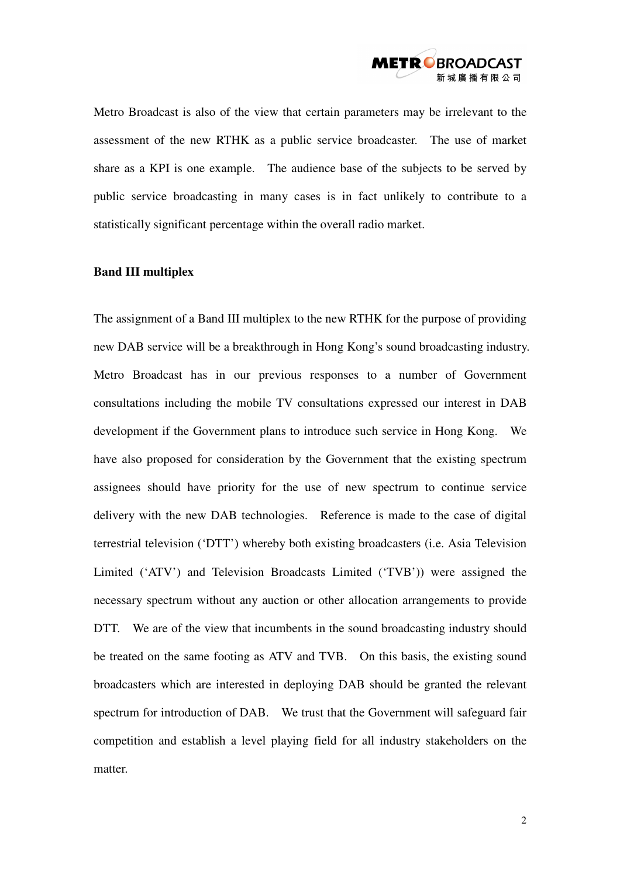

Metro Broadcast is also of the view that certain parameters may be irrelevant to the assessment of the new RTHK as a public service broadcaster. The use of market share as a KPI is one example. The audience base of the subjects to be served by public service broadcasting in many cases is in fact unlikely to contribute to a statistically significant percentage within the overall radio market.

## **Band III multiplex**

The assignment of a Band III multiplex to the new RTHK for the purpose of providing new DAB service will be a breakthrough in Hong Kong's sound broadcasting industry. Metro Broadcast has in our previous responses to a number of Government consultations including the mobile TV consultations expressed our interest in DAB development if the Government plans to introduce such service in Hong Kong. We have also proposed for consideration by the Government that the existing spectrum assignees should have priority for the use of new spectrum to continue service delivery with the new DAB technologies. Reference is made to the case of digital terrestrial television ('DTT') whereby both existing broadcasters (i.e. Asia Television Limited ('ATV') and Television Broadcasts Limited ('TVB')) were assigned the necessary spectrum without any auction or other allocation arrangements to provide DTT. We are of the view that incumbents in the sound broadcasting industry should be treated on the same footing as ATV and TVB. On this basis, the existing sound broadcasters which are interested in deploying DAB should be granted the relevant spectrum for introduction of DAB. We trust that the Government will safeguard fair competition and establish a level playing field for all industry stakeholders on the matter.